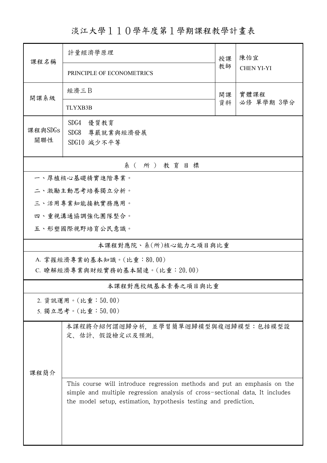淡江大學110學年度第1學期課程教學計畫表

| 課程名稱                      | 計量經濟學原理                                                                                                                                                                                                                     |          | 陳怡宜                |  |  |  |  |  |
|---------------------------|-----------------------------------------------------------------------------------------------------------------------------------------------------------------------------------------------------------------------------|----------|--------------------|--|--|--|--|--|
|                           | PRINCIPLE OF ECONOMETRICS                                                                                                                                                                                                   | 教師       | <b>CHEN YI-YI</b>  |  |  |  |  |  |
| 開課系級                      | 經濟三B                                                                                                                                                                                                                        | 開課<br>資料 | 實體課程<br>必修 單學期 3學分 |  |  |  |  |  |
|                           | TLYXB3B                                                                                                                                                                                                                     |          |                    |  |  |  |  |  |
| 課程與SDGs<br>關聯性            | SDG4<br>優質教育<br>SDG8 尊嚴就業與經濟發展                                                                                                                                                                                              |          |                    |  |  |  |  |  |
|                           | SDG10 減少不平等                                                                                                                                                                                                                 |          |                    |  |  |  |  |  |
| 系(所)教育目標                  |                                                                                                                                                                                                                             |          |                    |  |  |  |  |  |
|                           | 一、厚植核心基礎精實進階專業。                                                                                                                                                                                                             |          |                    |  |  |  |  |  |
|                           | 二、激勵主動思考培養獨立分析。                                                                                                                                                                                                             |          |                    |  |  |  |  |  |
|                           | 三、活用專業知能接軌實務應用。                                                                                                                                                                                                             |          |                    |  |  |  |  |  |
|                           | 四、重視溝通協調強化團隊整合。                                                                                                                                                                                                             |          |                    |  |  |  |  |  |
|                           | 五、形塑國際視野培育公民意識。                                                                                                                                                                                                             |          |                    |  |  |  |  |  |
| 本課程對應院、系(所)核心能力之項目與比重     |                                                                                                                                                                                                                             |          |                    |  |  |  |  |  |
| A. 掌握經濟專業的基本知識。(比重:80.00) |                                                                                                                                                                                                                             |          |                    |  |  |  |  |  |
|                           | C. 瞭解經濟專業與財經實務的基本關連。(比重: 20.00)                                                                                                                                                                                             |          |                    |  |  |  |  |  |
|                           | 本課程對應校級基本素養之項目與比重                                                                                                                                                                                                           |          |                    |  |  |  |  |  |
| 2. 資訊運用。(比重:50.00)        |                                                                                                                                                                                                                             |          |                    |  |  |  |  |  |
|                           | 5. 獨立思考。(比重:50.00)                                                                                                                                                                                                          |          |                    |  |  |  |  |  |
|                           | 本課程將介紹何謂迴歸分析,並學習簡單迴歸模型與複迴歸模型:包括模型設<br>定、估計、假設檢定以及預測。                                                                                                                                                                        |          |                    |  |  |  |  |  |
|                           |                                                                                                                                                                                                                             |          |                    |  |  |  |  |  |
| 课程简介                      |                                                                                                                                                                                                                             |          |                    |  |  |  |  |  |
|                           | This course will introduce regression methods and put an emphasis on the<br>simple and multiple regression analysis of cross-sectional data. It includes<br>the model setup, estimation, hypothesis testing and prediction. |          |                    |  |  |  |  |  |
|                           |                                                                                                                                                                                                                             |          |                    |  |  |  |  |  |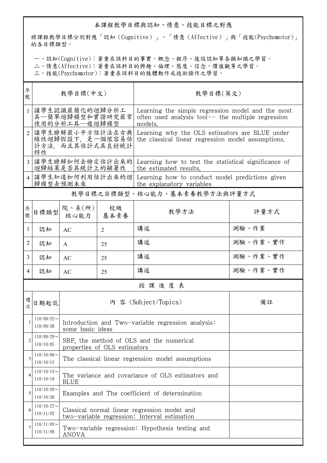## 本課程教學目標與認知、情意、技能目標之對應

將課程教學目標分別對應「認知(Cognitive)」、「情意(Affective)」與「技能(Psychomotor)」 的各目標類型。

一、認知(Cognitive):著重在該科目的事實、概念、程序、後設認知等各類知識之學習。

二、情意(Affective):著重在該科目的興趣、倫理、態度、信念、價值觀等之學習。

三、技能(Psychomotor):著重在該科目的肢體動作或技術操作之學習。

| 序<br>號         | 教學目標(中文)                                                    |                                                                                              |                                                   | 教學目標(英文)                                                                                                             |          |  |  |
|----------------|-------------------------------------------------------------|----------------------------------------------------------------------------------------------|---------------------------------------------------|----------------------------------------------------------------------------------------------------------------------|----------|--|--|
| $\mathbf{1}$   | 讓學生認識最簡化的迴歸分析工<br>具—簡單迴歸模型和實證研究最常<br>使用的分析工具—複迴歸模型          |                                                                                              |                                                   | Learning the simple regression model and the most<br>often used analysis tool $-$ the multiple regression<br>models. |          |  |  |
| $\overline{2}$ | 讓學生瞭解最小平方估計法在古典<br>線性迴歸假設下,是一個很容易估<br>計方法,而且其估計式具良好統計<br>特性 |                                                                                              |                                                   | Learning why the OLS estimators are BLUE under<br>the classical linear regression model assumptions.                 |          |  |  |
| $\mathcal{E}$  | 讓學生瞭解如何去檢定估計出來的<br>迴歸結果是否具統計上的顯著性                           |                                                                                              |                                                   | Learning how to test the statistical significance of<br>the estimated results.                                       |          |  |  |
| $\overline{4}$ | 讓學生知道如何利用估計出來的迴<br>歸模型去預測未來                                 |                                                                                              |                                                   | Learning how to conduct model predictions given<br>the explanatory variables                                         |          |  |  |
|                | 教學目標之目標類型、核心能力、基本素養教學方法與評量方式                                |                                                                                              |                                                   |                                                                                                                      |          |  |  |
| 序號             | 目標類型                                                        | 院、系(所)<br>核心能力                                                                               | 校級<br>基本素養                                        | 教學方法                                                                                                                 | 評量方式     |  |  |
| 1              | 認知                                                          | AC                                                                                           | $\overline{2}$                                    | 講述                                                                                                                   | 測驗、作業    |  |  |
| 2              | 認知                                                          | $\mathsf{A}$                                                                                 | 25                                                | 講述                                                                                                                   | 測驗、作業、實作 |  |  |
| 3              | 認知                                                          | AC                                                                                           | 25                                                | 講述                                                                                                                   | 測驗、作業、實作 |  |  |
| 4              | 認知                                                          | AC                                                                                           | 25                                                | 講述                                                                                                                   | 測驗、作業、實作 |  |  |
|                |                                                             |                                                                                              |                                                   | 授課進度表                                                                                                                |          |  |  |
| 週<br>欤         | 日期起訖                                                        |                                                                                              |                                                   | 內 容 (Subject/Topics)                                                                                                 | 備註       |  |  |
|                | $110/09/22$ ~<br>110/09/28                                  | Introduction and Two-variable regression analysis:<br>some basic ideas                       |                                                   |                                                                                                                      |          |  |  |
| $\overline{2}$ | $110/09/29$ ~<br>110/10/05                                  | SRF, the method of OLS and the numerical<br>properties of OLS estimators                     |                                                   |                                                                                                                      |          |  |  |
| 3              | $110/10/06$ ~<br>110/10/12                                  | The classical linear regression model assumptions                                            |                                                   |                                                                                                                      |          |  |  |
| 4              | $110/10/13$ ~<br>110/10/19                                  | <b>BLUE</b>                                                                                  | The variance and covariance of OLS estimators and |                                                                                                                      |          |  |  |
| 5              | $110/10/20$ ~<br>110/10/26                                  | Examples and The coefficient of determination                                                |                                                   |                                                                                                                      |          |  |  |
| 6              | $110/10/27$ ~<br>110/11/02                                  | Classical normal linear regression model and<br>two-variable regression: Interval estimation |                                                   |                                                                                                                      |          |  |  |
|                | $110/11/03$ ~<br>110/11/09                                  | Two-variable regression: Hypothesis testing and<br>ANOVA                                     |                                                   |                                                                                                                      |          |  |  |